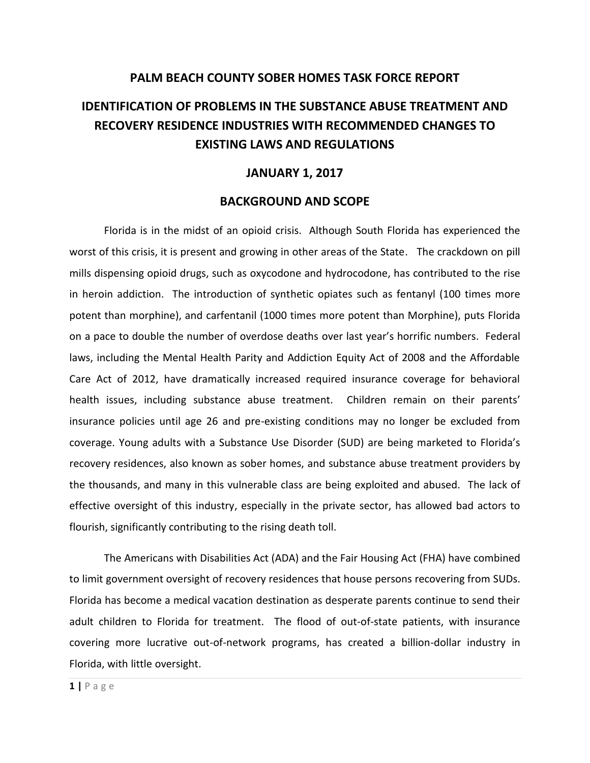### **PALM BEACH COUNTY SOBER HOMES TASK FORCE REPORT**

## **IDENTIFICATION OF PROBLEMS IN THE SUBSTANCE ABUSE TREATMENT AND RECOVERY RESIDENCE INDUSTRIES WITH RECOMMENDED CHANGES TO EXISTING LAWS AND REGULATIONS**

#### **JANUARY 1, 2017**

#### **BACKGROUND AND SCOPE**

Florida is in the midst of an opioid crisis. Although South Florida has experienced the worst of this crisis, it is present and growing in other areas of the State. The crackdown on pill mills dispensing opioid drugs, such as oxycodone and hydrocodone, has contributed to the rise in heroin addiction. The introduction of synthetic opiates such as fentanyl (100 times more potent than morphine), and carfentanil (1000 times more potent than Morphine), puts Florida on a pace to double the number of overdose deaths over last year's horrific numbers. Federal laws, including the Mental Health Parity and Addiction Equity Act of 2008 and the Affordable Care Act of 2012, have dramatically increased required insurance coverage for behavioral health issues, including substance abuse treatment. Children remain on their parents' insurance policies until age 26 and pre-existing conditions may no longer be excluded from coverage. Young adults with a Substance Use Disorder (SUD) are being marketed to Florida's recovery residences, also known as sober homes, and substance abuse treatment providers by the thousands, and many in this vulnerable class are being exploited and abused. The lack of effective oversight of this industry, especially in the private sector, has allowed bad actors to flourish, significantly contributing to the rising death toll.

The Americans with Disabilities Act (ADA) and the Fair Housing Act (FHA) have combined to limit government oversight of recovery residences that house persons recovering from SUDs. Florida has become a medical vacation destination as desperate parents continue to send their adult children to Florida for treatment. The flood of out-of-state patients, with insurance covering more lucrative out-of-network programs, has created a billion-dollar industry in Florida, with little oversight.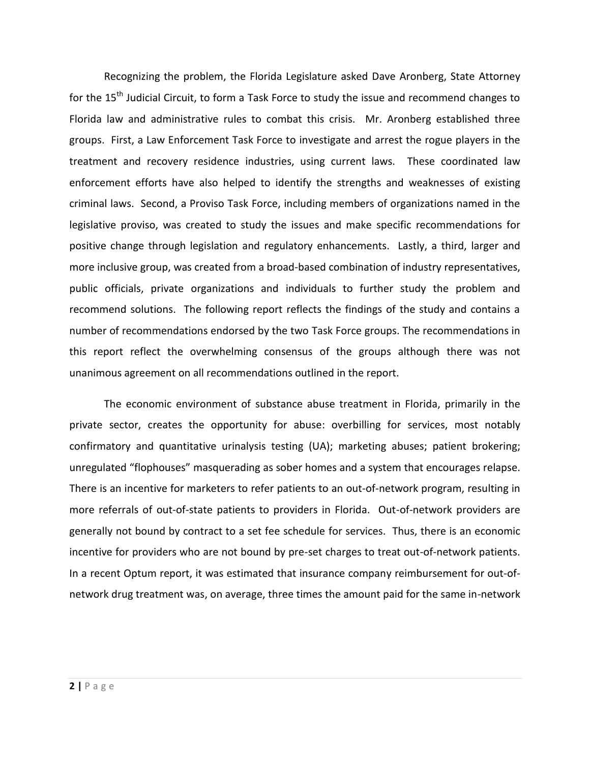Recognizing the problem, the Florida Legislature asked Dave Aronberg, State Attorney for the 15<sup>th</sup> Judicial Circuit, to form a Task Force to study the issue and recommend changes to Florida law and administrative rules to combat this crisis. Mr. Aronberg established three groups. First, a Law Enforcement Task Force to investigate and arrest the rogue players in the treatment and recovery residence industries, using current laws. These coordinated law enforcement efforts have also helped to identify the strengths and weaknesses of existing criminal laws. Second, a Proviso Task Force, including members of organizations named in the legislative proviso, was created to study the issues and make specific recommendations for positive change through legislation and regulatory enhancements. Lastly, a third, larger and more inclusive group, was created from a broad-based combination of industry representatives, public officials, private organizations and individuals to further study the problem and recommend solutions. The following report reflects the findings of the study and contains a number of recommendations endorsed by the two Task Force groups. The recommendations in this report reflect the overwhelming consensus of the groups although there was not unanimous agreement on all recommendations outlined in the report.

The economic environment of substance abuse treatment in Florida, primarily in the private sector, creates the opportunity for abuse: overbilling for services, most notably confirmatory and quantitative urinalysis testing (UA); marketing abuses; patient brokering; unregulated "flophouses" masquerading as sober homes and a system that encourages relapse. There is an incentive for marketers to refer patients to an out-of-network program, resulting in more referrals of out-of-state patients to providers in Florida. Out-of-network providers are generally not bound by contract to a set fee schedule for services. Thus, there is an economic incentive for providers who are not bound by pre-set charges to treat out-of-network patients. In a recent Optum report, it was estimated that insurance company reimbursement for out-ofnetwork drug treatment was, on average, three times the amount paid for the same in-network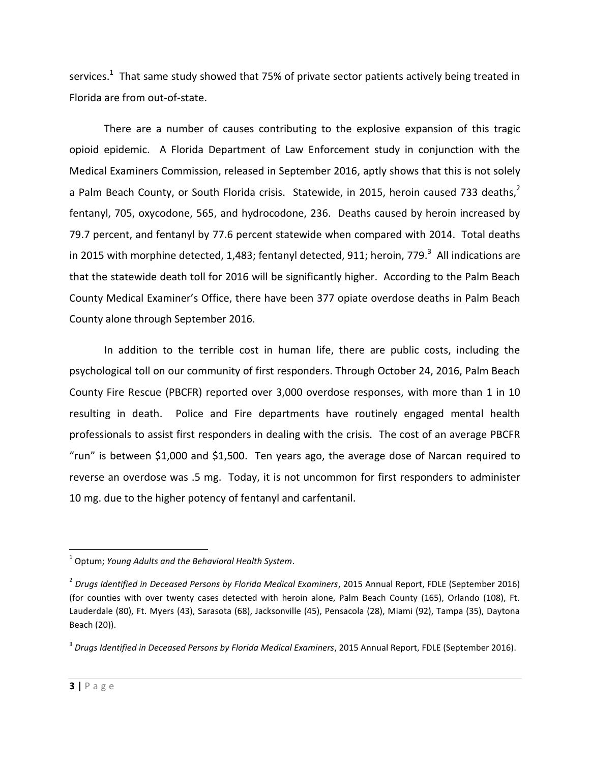services.<sup>1</sup> That same study showed that 75% of private sector patients actively being treated in Florida are from out-of-state.

There are a number of causes contributing to the explosive expansion of this tragic opioid epidemic. A Florida Department of Law Enforcement study in conjunction with the Medical Examiners Commission, released in September 2016, aptly shows that this is not solely a Palm Beach County, or South Florida crisis. Statewide, in 2015, heroin caused 733 deaths, $^2$ fentanyl, 705, oxycodone, 565, and hydrocodone, 236. Deaths caused by heroin increased by 79.7 percent, and fentanyl by 77.6 percent statewide when compared with 2014. Total deaths in 2015 with morphine detected, 1,483; fentanyl detected, 911; heroin, 779. $^3$  All indications are that the statewide death toll for 2016 will be significantly higher. According to the Palm Beach County Medical Examiner's Office, there have been 377 opiate overdose deaths in Palm Beach County alone through September 2016.

In addition to the terrible cost in human life, there are public costs, including the psychological toll on our community of first responders. Through October 24, 2016, Palm Beach County Fire Rescue (PBCFR) reported over 3,000 overdose responses, with more than 1 in 10 resulting in death. Police and Fire departments have routinely engaged mental health professionals to assist first responders in dealing with the crisis. The cost of an average PBCFR "run" is between \$1,000 and \$1,500. Ten years ago, the average dose of Narcan required to reverse an overdose was .5 mg. Today, it is not uncommon for first responders to administer 10 mg. due to the higher potency of fentanyl and carfentanil.

 $\overline{a}$ 

<sup>1</sup> Optum; *Young Adults and the Behavioral Health System*.

<sup>2</sup> *Drugs Identified in Deceased Persons by Florida Medical Examiners*, 2015 Annual Report, FDLE (September 2016) (for counties with over twenty cases detected with heroin alone, Palm Beach County (165), Orlando (108), Ft. Lauderdale (80), Ft. Myers (43), Sarasota (68), Jacksonville (45), Pensacola (28), Miami (92), Tampa (35), Daytona Beach (20)).

<sup>&</sup>lt;sup>3</sup> Drugs Identified in Deceased Persons by Florida Medical Examiners, 2015 Annual Report, FDLE (September 2016).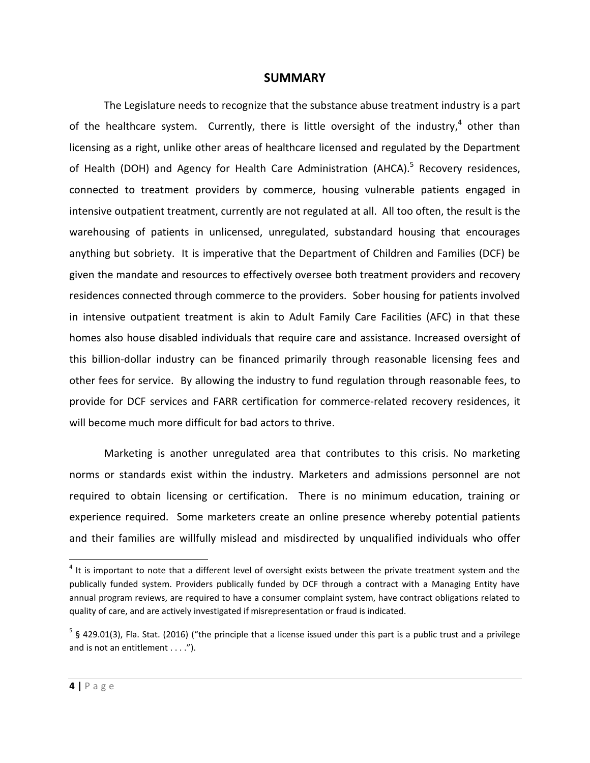#### **SUMMARY**

The Legislature needs to recognize that the substance abuse treatment industry is a part of the healthcare system. Currently, there is little oversight of the industry,<sup>4</sup> other than licensing as a right, unlike other areas of healthcare licensed and regulated by the Department of Health (DOH) and Agency for Health Care Administration (AHCA).<sup>5</sup> Recovery residences, connected to treatment providers by commerce, housing vulnerable patients engaged in intensive outpatient treatment, currently are not regulated at all. All too often, the result is the warehousing of patients in unlicensed, unregulated, substandard housing that encourages anything but sobriety. It is imperative that the Department of Children and Families (DCF) be given the mandate and resources to effectively oversee both treatment providers and recovery residences connected through commerce to the providers. Sober housing for patients involved in intensive outpatient treatment is akin to Adult Family Care Facilities (AFC) in that these homes also house disabled individuals that require care and assistance. Increased oversight of this billion-dollar industry can be financed primarily through reasonable licensing fees and other fees for service. By allowing the industry to fund regulation through reasonable fees, to provide for DCF services and FARR certification for commerce-related recovery residences, it will become much more difficult for bad actors to thrive.

Marketing is another unregulated area that contributes to this crisis. No marketing norms or standards exist within the industry. Marketers and admissions personnel are not required to obtain licensing or certification. There is no minimum education, training or experience required. Some marketers create an online presence whereby potential patients and their families are willfully mislead and misdirected by unqualified individuals who offer

 $4$  It is important to note that a different level of oversight exists between the private treatment system and the publically funded system. Providers publically funded by DCF through a contract with a Managing Entity have annual program reviews, are required to have a consumer complaint system, have contract obligations related to quality of care, and are actively investigated if misrepresentation or fraud is indicated.

 $^5$  § 429.01(3), Fla. Stat. (2016) ("the principle that a license issued under this part is a public trust and a privilege and is not an entitlement . . . .").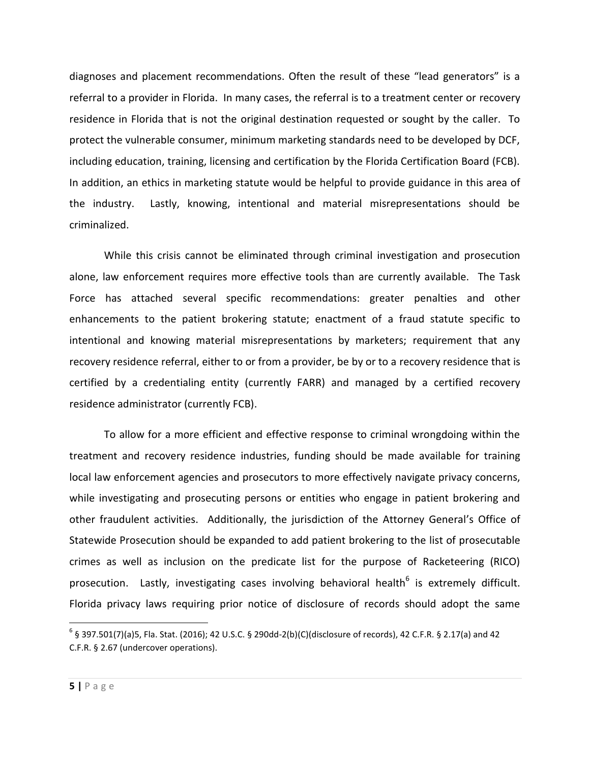diagnoses and placement recommendations. Often the result of these "lead generators" is a referral to a provider in Florida. In many cases, the referral is to a treatment center or recovery residence in Florida that is not the original destination requested or sought by the caller. To protect the vulnerable consumer, minimum marketing standards need to be developed by DCF, including education, training, licensing and certification by the Florida Certification Board (FCB). In addition, an ethics in marketing statute would be helpful to provide guidance in this area of the industry. Lastly, knowing, intentional and material misrepresentations should be criminalized.

While this crisis cannot be eliminated through criminal investigation and prosecution alone, law enforcement requires more effective tools than are currently available. The Task Force has attached several specific recommendations: greater penalties and other enhancements to the patient brokering statute; enactment of a fraud statute specific to intentional and knowing material misrepresentations by marketers; requirement that any recovery residence referral, either to or from a provider, be by or to a recovery residence that is certified by a credentialing entity (currently FARR) and managed by a certified recovery residence administrator (currently FCB).

To allow for a more efficient and effective response to criminal wrongdoing within the treatment and recovery residence industries, funding should be made available for training local law enforcement agencies and prosecutors to more effectively navigate privacy concerns, while investigating and prosecuting persons or entities who engage in patient brokering and other fraudulent activities. Additionally, the jurisdiction of the Attorney General's Office of Statewide Prosecution should be expanded to add patient brokering to the list of prosecutable crimes as well as inclusion on the predicate list for the purpose of Racketeering (RICO) prosecution. Lastly, investigating cases involving behavioral health<sup>6</sup> is extremely difficult. Florida privacy laws requiring prior notice of disclosure of records should adopt the same

 $\overline{a}$ 

<sup>6</sup> § 397.501(7)(a)5, Fla. Stat. (2016); 42 U.S.C. § 290dd-2(b)(C)(disclosure of records), 42 C.F.R. § 2.17(a) and 42 C.F.R. § 2.67 (undercover operations).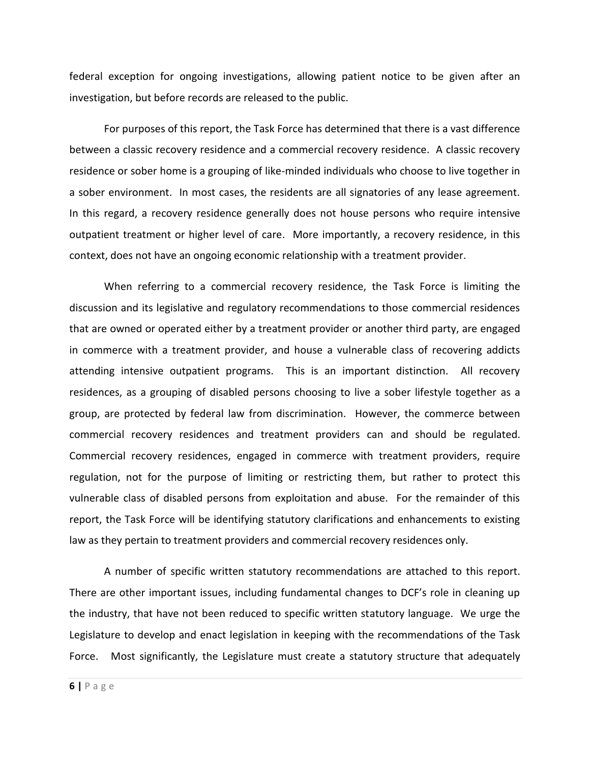federal exception for ongoing investigations, allowing patient notice to be given after an investigation, but before records are released to the public.

For purposes of this report, the Task Force has determined that there is a vast difference between a classic recovery residence and a commercial recovery residence. A classic recovery residence or sober home is a grouping of like-minded individuals who choose to live together in a sober environment. In most cases, the residents are all signatories of any lease agreement. In this regard, a recovery residence generally does not house persons who require intensive outpatient treatment or higher level of care. More importantly, a recovery residence, in this context, does not have an ongoing economic relationship with a treatment provider.

When referring to a commercial recovery residence, the Task Force is limiting the discussion and its legislative and regulatory recommendations to those commercial residences that are owned or operated either by a treatment provider or another third party, are engaged in commerce with a treatment provider, and house a vulnerable class of recovering addicts attending intensive outpatient programs. This is an important distinction. All recovery residences, as a grouping of disabled persons choosing to live a sober lifestyle together as a group, are protected by federal law from discrimination. However, the commerce between commercial recovery residences and treatment providers can and should be regulated. Commercial recovery residences, engaged in commerce with treatment providers, require regulation, not for the purpose of limiting or restricting them, but rather to protect this vulnerable class of disabled persons from exploitation and abuse. For the remainder of this report, the Task Force will be identifying statutory clarifications and enhancements to existing law as they pertain to treatment providers and commercial recovery residences only.

A number of specific written statutory recommendations are attached to this report. There are other important issues, including fundamental changes to DCF's role in cleaning up the industry, that have not been reduced to specific written statutory language. We urge the Legislature to develop and enact legislation in keeping with the recommendations of the Task Force. Most significantly, the Legislature must create a statutory structure that adequately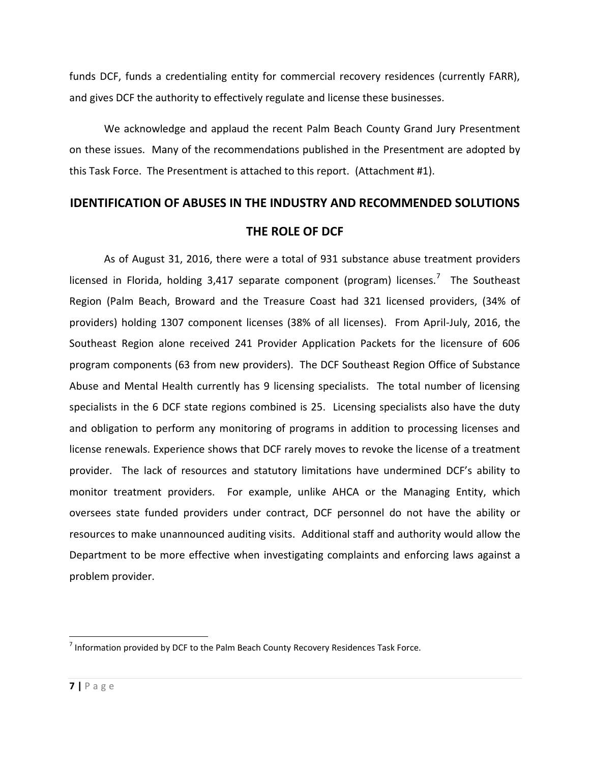funds DCF, funds a credentialing entity for commercial recovery residences (currently FARR), and gives DCF the authority to effectively regulate and license these businesses.

We acknowledge and applaud the recent Palm Beach County Grand Jury Presentment on these issues. Many of the recommendations published in the Presentment are adopted by this Task Force. The Presentment is attached to this report. (Attachment #1).

# **IDENTIFICATION OF ABUSES IN THE INDUSTRY AND RECOMMENDED SOLUTIONS THE ROLE OF DCF**

As of August 31, 2016, there were a total of 931 substance abuse treatment providers licensed in Florida, holding 3,417 separate component (program) licenses.<sup>7</sup> The Southeast Region (Palm Beach, Broward and the Treasure Coast had 321 licensed providers, (34% of providers) holding 1307 component licenses (38% of all licenses). From April-July, 2016, the Southeast Region alone received 241 Provider Application Packets for the licensure of 606 program components (63 from new providers). The DCF Southeast Region Office of Substance Abuse and Mental Health currently has 9 licensing specialists. The total number of licensing specialists in the 6 DCF state regions combined is 25. Licensing specialists also have the duty and obligation to perform any monitoring of programs in addition to processing licenses and license renewals. Experience shows that DCF rarely moves to revoke the license of a treatment provider. The lack of resources and statutory limitations have undermined DCF's ability to monitor treatment providers. For example, unlike AHCA or the Managing Entity, which oversees state funded providers under contract, DCF personnel do not have the ability or resources to make unannounced auditing visits. Additional staff and authority would allow the Department to be more effective when investigating complaints and enforcing laws against a problem provider.

 $^7$  Information provided by DCF to the Palm Beach County Recovery Residences Task Force.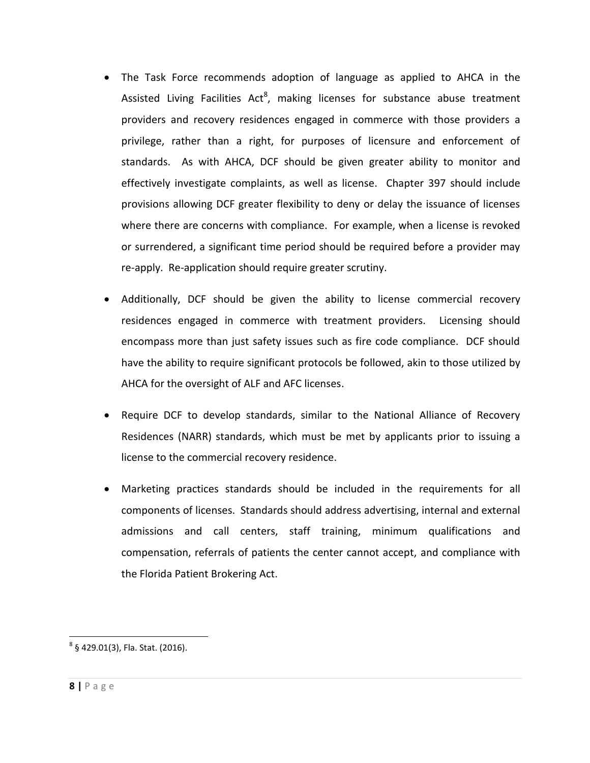- The Task Force recommends adoption of language as applied to AHCA in the Assisted Living Facilities Act<sup>8</sup>, making licenses for substance abuse treatment providers and recovery residences engaged in commerce with those providers a privilege, rather than a right, for purposes of licensure and enforcement of standards. As with AHCA, DCF should be given greater ability to monitor and effectively investigate complaints, as well as license. Chapter 397 should include provisions allowing DCF greater flexibility to deny or delay the issuance of licenses where there are concerns with compliance. For example, when a license is revoked or surrendered, a significant time period should be required before a provider may re-apply. Re-application should require greater scrutiny.
- Additionally, DCF should be given the ability to license commercial recovery residences engaged in commerce with treatment providers. Licensing should encompass more than just safety issues such as fire code compliance. DCF should have the ability to require significant protocols be followed, akin to those utilized by AHCA for the oversight of ALF and AFC licenses.
- Require DCF to develop standards, similar to the National Alliance of Recovery Residences (NARR) standards, which must be met by applicants prior to issuing a license to the commercial recovery residence.
- Marketing practices standards should be included in the requirements for all components of licenses. Standards should address advertising, internal and external admissions and call centers, staff training, minimum qualifications and compensation, referrals of patients the center cannot accept, and compliance with the Florida Patient Brokering Act.

<sup>8</sup> § 429.01(3), Fla. Stat. (2016).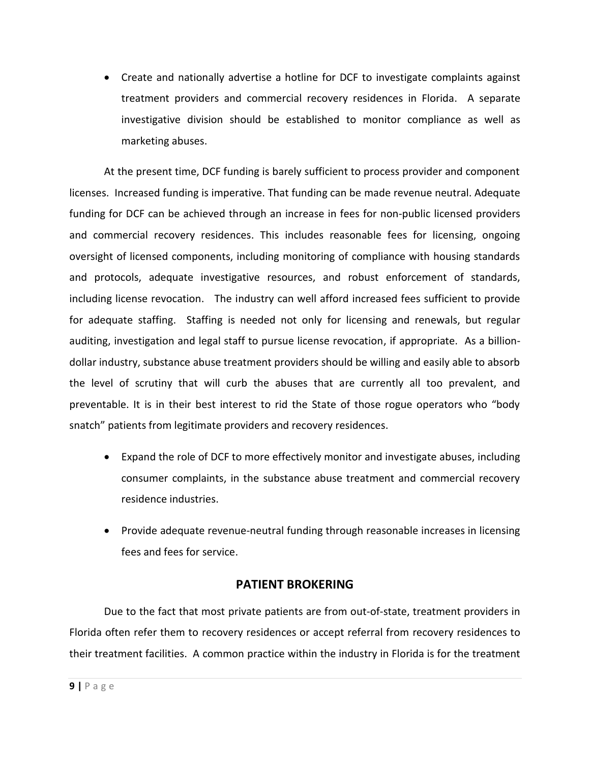Create and nationally advertise a hotline for DCF to investigate complaints against treatment providers and commercial recovery residences in Florida. A separate investigative division should be established to monitor compliance as well as marketing abuses.

At the present time, DCF funding is barely sufficient to process provider and component licenses. Increased funding is imperative. That funding can be made revenue neutral. Adequate funding for DCF can be achieved through an increase in fees for non-public licensed providers and commercial recovery residences. This includes reasonable fees for licensing, ongoing oversight of licensed components, including monitoring of compliance with housing standards and protocols, adequate investigative resources, and robust enforcement of standards, including license revocation. The industry can well afford increased fees sufficient to provide for adequate staffing. Staffing is needed not only for licensing and renewals, but regular auditing, investigation and legal staff to pursue license revocation, if appropriate. As a billiondollar industry, substance abuse treatment providers should be willing and easily able to absorb the level of scrutiny that will curb the abuses that are currently all too prevalent, and preventable. It is in their best interest to rid the State of those rogue operators who "body snatch" patients from legitimate providers and recovery residences.

- Expand the role of DCF to more effectively monitor and investigate abuses, including consumer complaints, in the substance abuse treatment and commercial recovery residence industries.
- Provide adequate revenue-neutral funding through reasonable increases in licensing fees and fees for service.

## **PATIENT BROKERING**

Due to the fact that most private patients are from out-of-state, treatment providers in Florida often refer them to recovery residences or accept referral from recovery residences to their treatment facilities. A common practice within the industry in Florida is for the treatment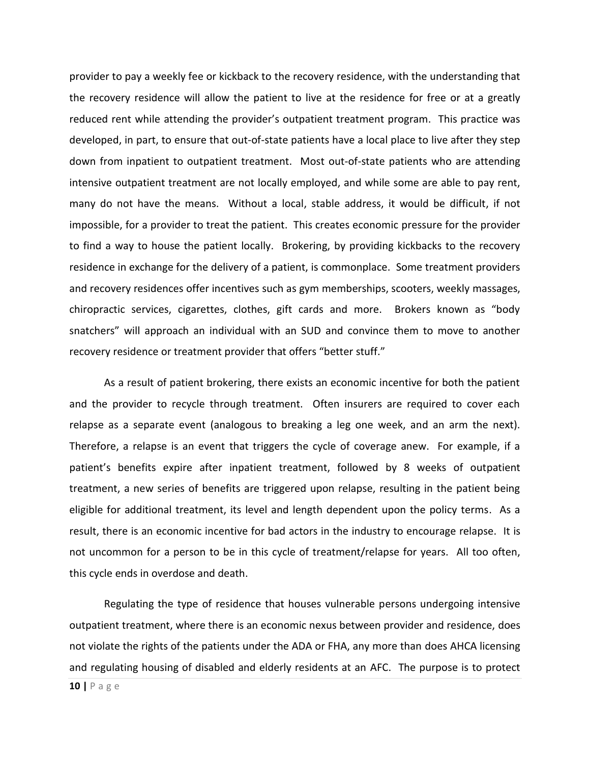provider to pay a weekly fee or kickback to the recovery residence, with the understanding that the recovery residence will allow the patient to live at the residence for free or at a greatly reduced rent while attending the provider's outpatient treatment program. This practice was developed, in part, to ensure that out-of-state patients have a local place to live after they step down from inpatient to outpatient treatment. Most out-of-state patients who are attending intensive outpatient treatment are not locally employed, and while some are able to pay rent, many do not have the means. Without a local, stable address, it would be difficult, if not impossible, for a provider to treat the patient. This creates economic pressure for the provider to find a way to house the patient locally. Brokering, by providing kickbacks to the recovery residence in exchange for the delivery of a patient, is commonplace. Some treatment providers and recovery residences offer incentives such as gym memberships, scooters, weekly massages, chiropractic services, cigarettes, clothes, gift cards and more. Brokers known as "body snatchers" will approach an individual with an SUD and convince them to move to another recovery residence or treatment provider that offers "better stuff."

As a result of patient brokering, there exists an economic incentive for both the patient and the provider to recycle through treatment. Often insurers are required to cover each relapse as a separate event (analogous to breaking a leg one week, and an arm the next). Therefore, a relapse is an event that triggers the cycle of coverage anew. For example, if a patient's benefits expire after inpatient treatment, followed by 8 weeks of outpatient treatment, a new series of benefits are triggered upon relapse, resulting in the patient being eligible for additional treatment, its level and length dependent upon the policy terms. As a result, there is an economic incentive for bad actors in the industry to encourage relapse. It is not uncommon for a person to be in this cycle of treatment/relapse for years. All too often, this cycle ends in overdose and death.

Regulating the type of residence that houses vulnerable persons undergoing intensive outpatient treatment, where there is an economic nexus between provider and residence, does not violate the rights of the patients under the ADA or FHA, any more than does AHCA licensing and regulating housing of disabled and elderly residents at an AFC. The purpose is to protect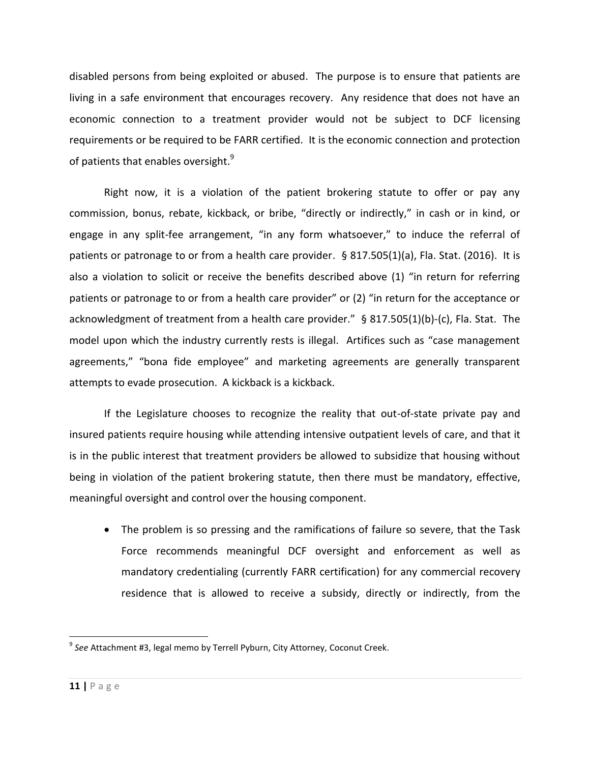disabled persons from being exploited or abused. The purpose is to ensure that patients are living in a safe environment that encourages recovery. Any residence that does not have an economic connection to a treatment provider would not be subject to DCF licensing requirements or be required to be FARR certified. It is the economic connection and protection of patients that enables oversight.<sup>9</sup>

Right now, it is a violation of the patient brokering statute to offer or pay any commission, bonus, rebate, kickback, or bribe, "directly or indirectly," in cash or in kind, or engage in any split-fee arrangement, "in any form whatsoever," to induce the referral of patients or patronage to or from a health care provider. § 817.505(1)(a), Fla. Stat. (2016). It is also a violation to solicit or receive the benefits described above (1) "in return for referring patients or patronage to or from a health care provider" or (2) "in return for the acceptance or acknowledgment of treatment from a health care provider." § 817.505(1)(b)-(c), Fla. Stat. The model upon which the industry currently rests is illegal. Artifices such as "case management agreements," "bona fide employee" and marketing agreements are generally transparent attempts to evade prosecution. A kickback is a kickback.

If the Legislature chooses to recognize the reality that out-of-state private pay and insured patients require housing while attending intensive outpatient levels of care, and that it is in the public interest that treatment providers be allowed to subsidize that housing without being in violation of the patient brokering statute, then there must be mandatory, effective, meaningful oversight and control over the housing component.

• The problem is so pressing and the ramifications of failure so severe, that the Task Force recommends meaningful DCF oversight and enforcement as well as mandatory credentialing (currently FARR certification) for any commercial recovery residence that is allowed to receive a subsidy, directly or indirectly, from the

<sup>&</sup>lt;sup>9</sup> See Attachment #3, legal memo by Terrell Pyburn, City Attorney, Coconut Creek.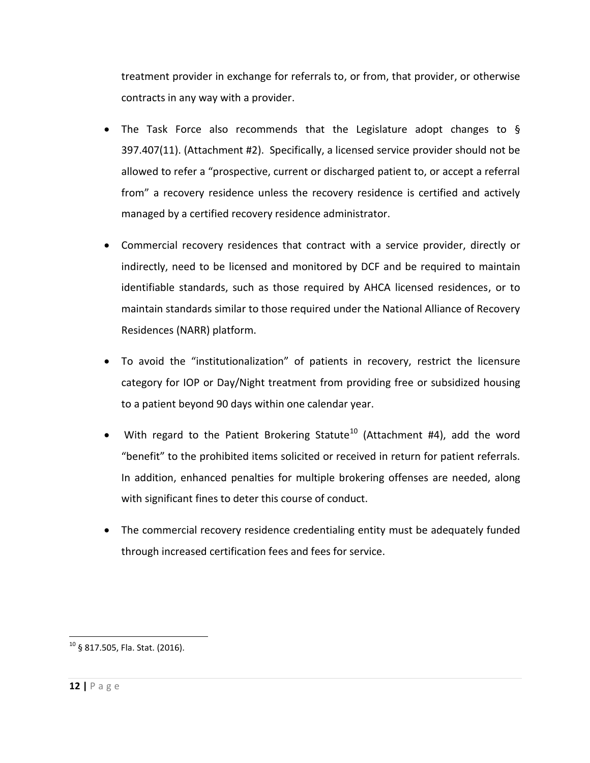treatment provider in exchange for referrals to, or from, that provider, or otherwise contracts in any way with a provider.

- The Task Force also recommends that the Legislature adopt changes to  $\S$ 397.407(11). (Attachment #2). Specifically, a licensed service provider should not be allowed to refer a "prospective, current or discharged patient to, or accept a referral from" a recovery residence unless the recovery residence is certified and actively managed by a certified recovery residence administrator.
- Commercial recovery residences that contract with a service provider, directly or indirectly, need to be licensed and monitored by DCF and be required to maintain identifiable standards, such as those required by AHCA licensed residences, or to maintain standards similar to those required under the National Alliance of Recovery Residences (NARR) platform.
- To avoid the "institutionalization" of patients in recovery, restrict the licensure category for IOP or Day/Night treatment from providing free or subsidized housing to a patient beyond 90 days within one calendar year.
- With regard to the Patient Brokering Statute<sup>10</sup> (Attachment #4), add the word "benefit" to the prohibited items solicited or received in return for patient referrals. In addition, enhanced penalties for multiple brokering offenses are needed, along with significant fines to deter this course of conduct.
- The commercial recovery residence credentialing entity must be adequately funded through increased certification fees and fees for service.

 $^{10}$  § 817.505, Fla. Stat. (2016).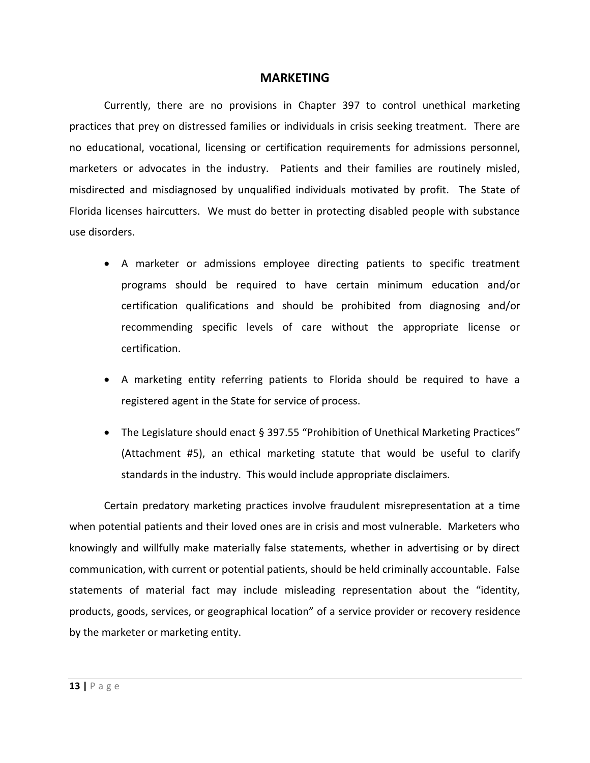#### **MARKETING**

Currently, there are no provisions in Chapter 397 to control unethical marketing practices that prey on distressed families or individuals in crisis seeking treatment. There are no educational, vocational, licensing or certification requirements for admissions personnel, marketers or advocates in the industry. Patients and their families are routinely misled, misdirected and misdiagnosed by unqualified individuals motivated by profit. The State of Florida licenses haircutters. We must do better in protecting disabled people with substance use disorders.

- A marketer or admissions employee directing patients to specific treatment programs should be required to have certain minimum education and/or certification qualifications and should be prohibited from diagnosing and/or recommending specific levels of care without the appropriate license or certification.
- A marketing entity referring patients to Florida should be required to have a registered agent in the State for service of process.
- The Legislature should enact § 397.55 "Prohibition of Unethical Marketing Practices" (Attachment #5), an ethical marketing statute that would be useful to clarify standards in the industry. This would include appropriate disclaimers.

Certain predatory marketing practices involve fraudulent misrepresentation at a time when potential patients and their loved ones are in crisis and most vulnerable. Marketers who knowingly and willfully make materially false statements, whether in advertising or by direct communication, with current or potential patients, should be held criminally accountable. False statements of material fact may include misleading representation about the "identity, products, goods, services, or geographical location" of a service provider or recovery residence by the marketer or marketing entity.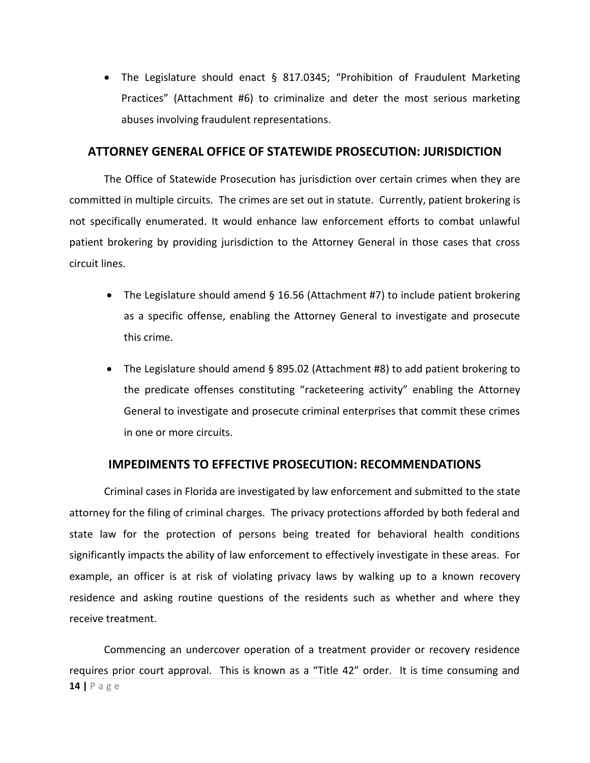The Legislature should enact § 817.0345; "Prohibition of Fraudulent Marketing Practices" (Attachment #6) to criminalize and deter the most serious marketing abuses involving fraudulent representations.

## **ATTORNEY GENERAL OFFICE OF STATEWIDE PROSECUTION: JURISDICTION**

The Office of Statewide Prosecution has jurisdiction over certain crimes when they are committed in multiple circuits. The crimes are set out in statute. Currently, patient brokering is not specifically enumerated. It would enhance law enforcement efforts to combat unlawful patient brokering by providing jurisdiction to the Attorney General in those cases that cross circuit lines.

- The Legislature should amend § 16.56 (Attachment #7) to include patient brokering as a specific offense, enabling the Attorney General to investigate and prosecute this crime.
- The Legislature should amend § 895.02 (Attachment #8) to add patient brokering to the predicate offenses constituting "racketeering activity" enabling the Attorney General to investigate and prosecute criminal enterprises that commit these crimes in one or more circuits.

## **IMPEDIMENTS TO EFFECTIVE PROSECUTION: RECOMMENDATIONS**

Criminal cases in Florida are investigated by law enforcement and submitted to the state attorney for the filing of criminal charges. The privacy protections afforded by both federal and state law for the protection of persons being treated for behavioral health conditions significantly impacts the ability of law enforcement to effectively investigate in these areas. For example, an officer is at risk of violating privacy laws by walking up to a known recovery residence and asking routine questions of the residents such as whether and where they receive treatment.

**14 |** P a g e Commencing an undercover operation of a treatment provider or recovery residence requires prior court approval. This is known as a "Title 42" order. It is time consuming and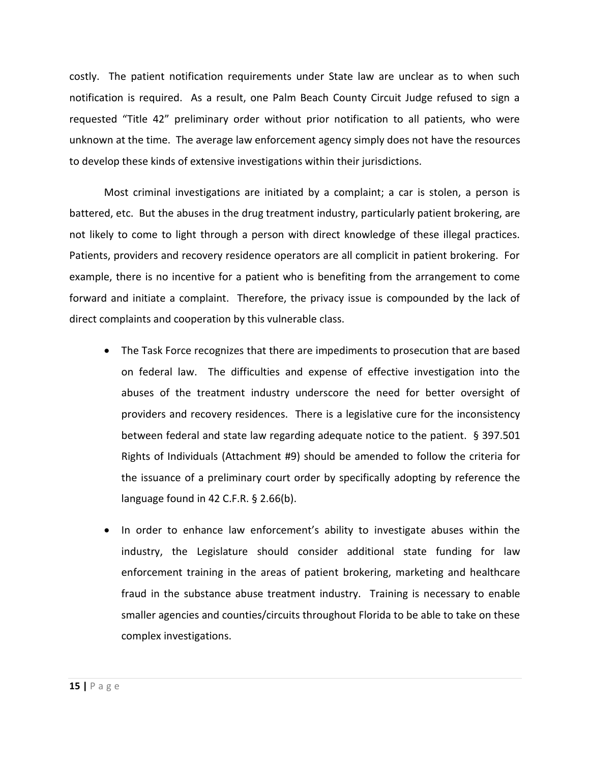costly. The patient notification requirements under State law are unclear as to when such notification is required. As a result, one Palm Beach County Circuit Judge refused to sign a requested "Title 42" preliminary order without prior notification to all patients, who were unknown at the time. The average law enforcement agency simply does not have the resources to develop these kinds of extensive investigations within their jurisdictions.

Most criminal investigations are initiated by a complaint; a car is stolen, a person is battered, etc. But the abuses in the drug treatment industry, particularly patient brokering, are not likely to come to light through a person with direct knowledge of these illegal practices. Patients, providers and recovery residence operators are all complicit in patient brokering. For example, there is no incentive for a patient who is benefiting from the arrangement to come forward and initiate a complaint. Therefore, the privacy issue is compounded by the lack of direct complaints and cooperation by this vulnerable class.

- The Task Force recognizes that there are impediments to prosecution that are based on federal law. The difficulties and expense of effective investigation into the abuses of the treatment industry underscore the need for better oversight of providers and recovery residences. There is a legislative cure for the inconsistency between federal and state law regarding adequate notice to the patient. § 397.501 Rights of Individuals (Attachment #9) should be amended to follow the criteria for the issuance of a preliminary court order by specifically adopting by reference the language found in 42 C.F.R. § 2.66(b).
- In order to enhance law enforcement's ability to investigate abuses within the industry, the Legislature should consider additional state funding for law enforcement training in the areas of patient brokering, marketing and healthcare fraud in the substance abuse treatment industry. Training is necessary to enable smaller agencies and counties/circuits throughout Florida to be able to take on these complex investigations.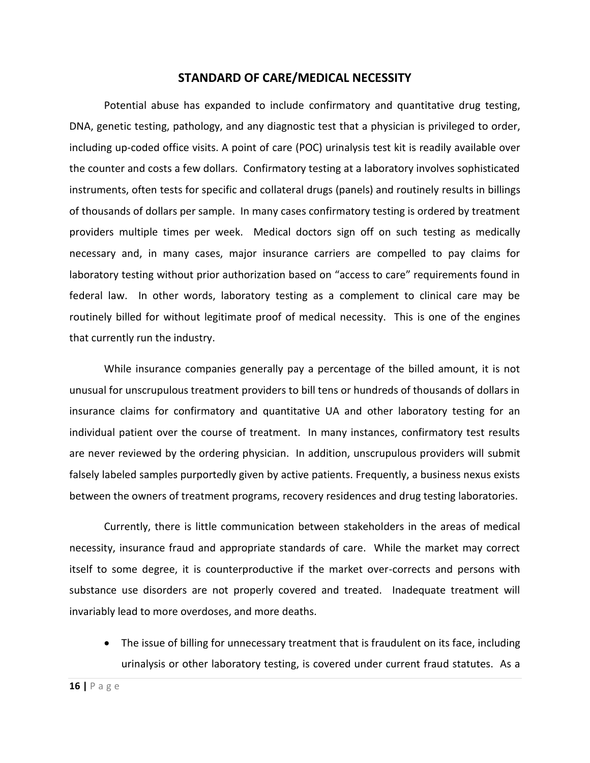#### **STANDARD OF CARE/MEDICAL NECESSITY**

Potential abuse has expanded to include confirmatory and quantitative drug testing, DNA, genetic testing, pathology, and any diagnostic test that a physician is privileged to order, including up-coded office visits. A point of care (POC) urinalysis test kit is readily available over the counter and costs a few dollars. Confirmatory testing at a laboratory involves sophisticated instruments, often tests for specific and collateral drugs (panels) and routinely results in billings of thousands of dollars per sample. In many cases confirmatory testing is ordered by treatment providers multiple times per week. Medical doctors sign off on such testing as medically necessary and, in many cases, major insurance carriers are compelled to pay claims for laboratory testing without prior authorization based on "access to care" requirements found in federal law. In other words, laboratory testing as a complement to clinical care may be routinely billed for without legitimate proof of medical necessity. This is one of the engines that currently run the industry.

While insurance companies generally pay a percentage of the billed amount, it is not unusual for unscrupulous treatment providers to bill tens or hundreds of thousands of dollars in insurance claims for confirmatory and quantitative UA and other laboratory testing for an individual patient over the course of treatment. In many instances, confirmatory test results are never reviewed by the ordering physician. In addition, unscrupulous providers will submit falsely labeled samples purportedly given by active patients. Frequently, a business nexus exists between the owners of treatment programs, recovery residences and drug testing laboratories.

Currently, there is little communication between stakeholders in the areas of medical necessity, insurance fraud and appropriate standards of care. While the market may correct itself to some degree, it is counterproductive if the market over-corrects and persons with substance use disorders are not properly covered and treated. Inadequate treatment will invariably lead to more overdoses, and more deaths.

• The issue of billing for unnecessary treatment that is fraudulent on its face, including urinalysis or other laboratory testing, is covered under current fraud statutes. As a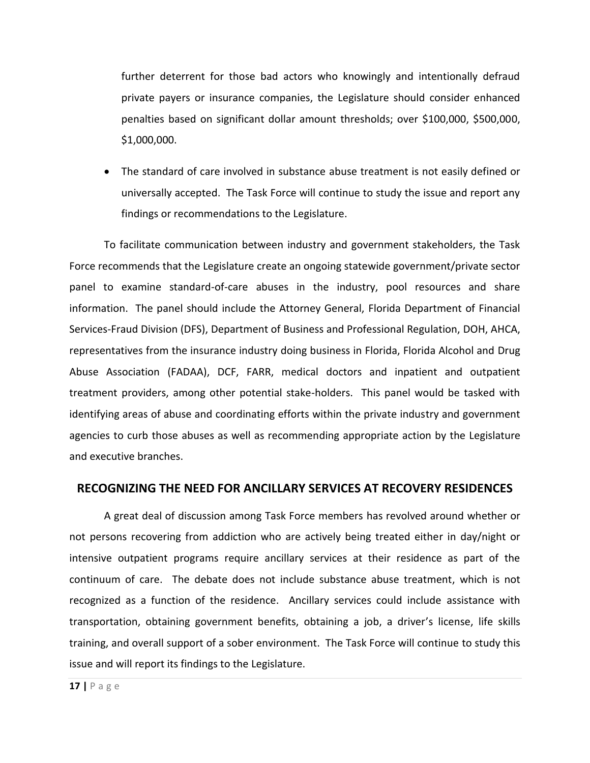further deterrent for those bad actors who knowingly and intentionally defraud private payers or insurance companies, the Legislature should consider enhanced penalties based on significant dollar amount thresholds; over \$100,000, \$500,000, \$1,000,000.

 The standard of care involved in substance abuse treatment is not easily defined or universally accepted. The Task Force will continue to study the issue and report any findings or recommendations to the Legislature.

To facilitate communication between industry and government stakeholders, the Task Force recommends that the Legislature create an ongoing statewide government/private sector panel to examine standard-of-care abuses in the industry, pool resources and share information. The panel should include the Attorney General, Florida Department of Financial Services-Fraud Division (DFS), Department of Business and Professional Regulation, DOH, AHCA, representatives from the insurance industry doing business in Florida, Florida Alcohol and Drug Abuse Association (FADAA), DCF, FARR, medical doctors and inpatient and outpatient treatment providers, among other potential stake-holders. This panel would be tasked with identifying areas of abuse and coordinating efforts within the private industry and government agencies to curb those abuses as well as recommending appropriate action by the Legislature and executive branches.

#### **RECOGNIZING THE NEED FOR ANCILLARY SERVICES AT RECOVERY RESIDENCES**

A great deal of discussion among Task Force members has revolved around whether or not persons recovering from addiction who are actively being treated either in day/night or intensive outpatient programs require ancillary services at their residence as part of the continuum of care. The debate does not include substance abuse treatment, which is not recognized as a function of the residence. Ancillary services could include assistance with transportation, obtaining government benefits, obtaining a job, a driver's license, life skills training, and overall support of a sober environment. The Task Force will continue to study this issue and will report its findings to the Legislature.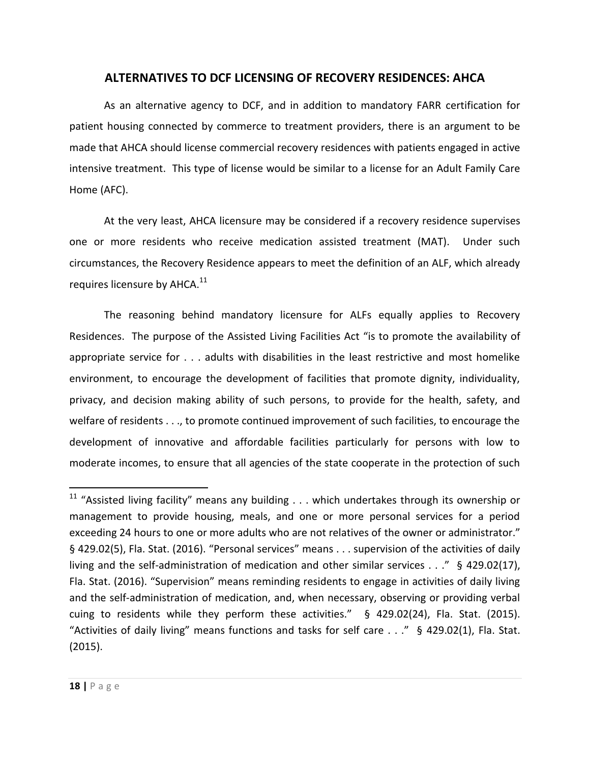## **ALTERNATIVES TO DCF LICENSING OF RECOVERY RESIDENCES: AHCA**

As an alternative agency to DCF, and in addition to mandatory FARR certification for patient housing connected by commerce to treatment providers, there is an argument to be made that AHCA should license commercial recovery residences with patients engaged in active intensive treatment. This type of license would be similar to a license for an Adult Family Care Home (AFC).

At the very least, AHCA licensure may be considered if a recovery residence supervises one or more residents who receive medication assisted treatment (MAT). Under such circumstances, the Recovery Residence appears to meet the definition of an ALF, which already requires licensure by AHCA. $^{11}$ 

The reasoning behind mandatory licensure for ALFs equally applies to Recovery Residences. The purpose of the Assisted Living Facilities Act "is to promote the availability of appropriate service for . . . adults with disabilities in the least restrictive and most homelike environment, to encourage the development of facilities that promote dignity, individuality, privacy, and decision making ability of such persons, to provide for the health, safety, and welfare of residents . . ., to promote continued improvement of such facilities, to encourage the development of innovative and affordable facilities particularly for persons with low to moderate incomes, to ensure that all agencies of the state cooperate in the protection of such

 $\overline{a}$ 

<sup>&</sup>lt;sup>11</sup> "Assisted living facility" means any building  $\dots$  which undertakes through its ownership or management to provide housing, meals, and one or more personal services for a period exceeding 24 hours to one or more adults who are not relatives of the owner or administrator." § 429.02(5), Fla. Stat. (2016). "Personal services" means . . . supervision of the activities of daily living and the self-administration of medication and other similar services . . ." § 429.02(17), Fla. Stat. (2016). "Supervision" means reminding residents to engage in activities of daily living and the self-administration of medication, and, when necessary, observing or providing verbal cuing to residents while they perform these activities." § 429.02(24), Fla. Stat. (2015). "Activities of daily living" means functions and tasks for self care . . ." § 429.02(1), Fla. Stat. (2015).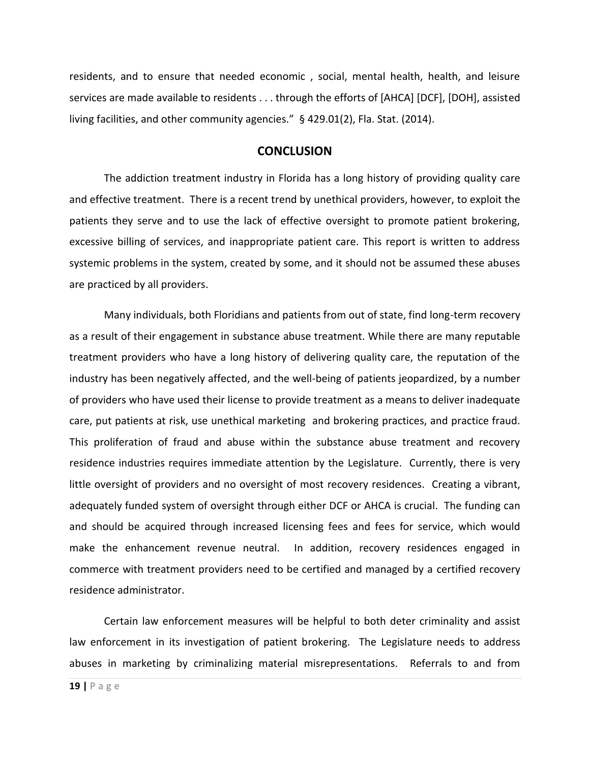residents, and to ensure that needed economic , social, mental health, health, and leisure services are made available to residents . . . through the efforts of [AHCA] [DCF], [DOH], assisted living facilities, and other community agencies." § 429.01(2), Fla. Stat. (2014).

#### **CONCLUSION**

The addiction treatment industry in Florida has a long history of providing quality care and effective treatment. There is a recent trend by unethical providers, however, to exploit the patients they serve and to use the lack of effective oversight to promote patient brokering, excessive billing of services, and inappropriate patient care. This report is written to address systemic problems in the system, created by some, and it should not be assumed these abuses are practiced by all providers.

Many individuals, both Floridians and patients from out of state, find long-term recovery as a result of their engagement in substance abuse treatment. While there are many reputable treatment providers who have a long history of delivering quality care, the reputation of the industry has been negatively affected, and the well-being of patients jeopardized, by a number of providers who have used their license to provide treatment as a means to deliver inadequate care, put patients at risk, use unethical marketing and brokering practices, and practice fraud. This proliferation of fraud and abuse within the substance abuse treatment and recovery residence industries requires immediate attention by the Legislature. Currently, there is very little oversight of providers and no oversight of most recovery residences. Creating a vibrant, adequately funded system of oversight through either DCF or AHCA is crucial. The funding can and should be acquired through increased licensing fees and fees for service, which would make the enhancement revenue neutral. In addition, recovery residences engaged in commerce with treatment providers need to be certified and managed by a certified recovery residence administrator.

Certain law enforcement measures will be helpful to both deter criminality and assist law enforcement in its investigation of patient brokering. The Legislature needs to address abuses in marketing by criminalizing material misrepresentations. Referrals to and from